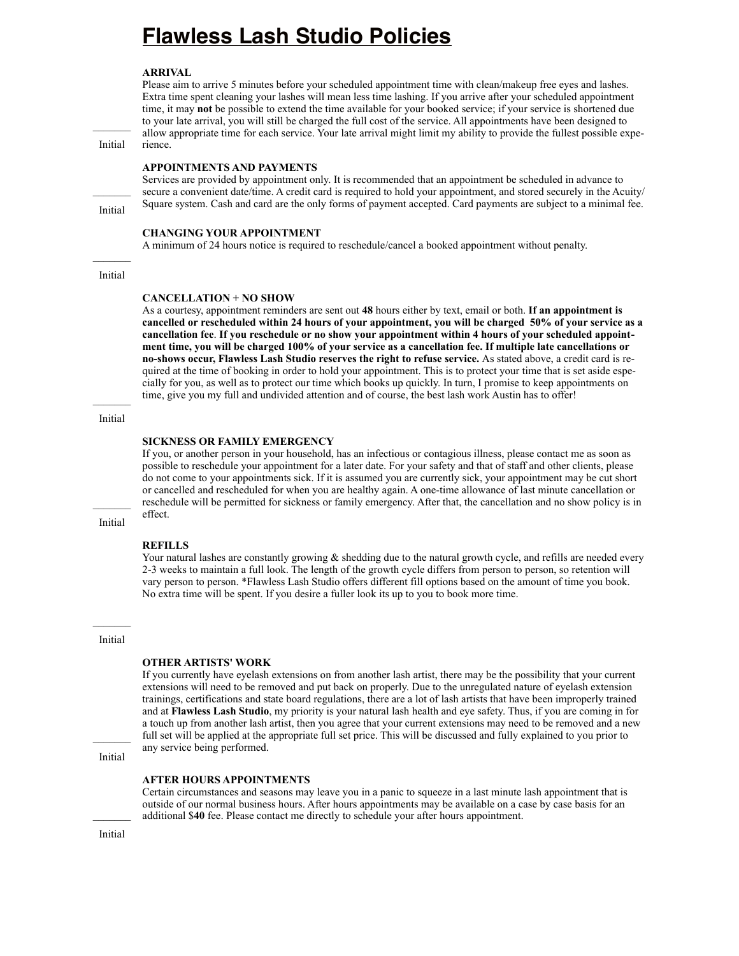# **Flawless Lash Studio Policies**

### **ARRIVAL**

Please aim to arrive 5 minutes before your scheduled appointment time with clean/makeup free eyes and lashes. Extra time spent cleaning your lashes will mean less time lashing. If you arrive after your scheduled appointment time, it may **not** be possible to extend the time available for your booked service; if your service is shortened due to your late arrival, you will still be charged the full cost of the service. All appointments have been designed to allow appropriate time for each service. Your late arrival might limit my ability to provide the fullest possible experience.

Initial

### **APPOINTMENTS AND PAYMENTS**

Services are provided by appointment only. It is recommended that an appointment be scheduled in advance to secure a convenient date/time. A credit card is required to hold your appointment, and stored securely in the Acuity/ Square system. Cash and card are the only forms of payment accepted. Card payments are subject to a minimal fee.

## **CHANGING YOUR APPOINTMENT**

A minimum of 24 hours notice is required to reschedule/cancel a booked appointment without penalty.

### Initial

Initial

### **CANCELLATION + NO SHOW**

As a courtesy, appointment reminders are sent out **48** hours either by text, email or both. **If an appointment is cancelled or rescheduled within 24 hours of your appointment, you will be charged 50% of your service as a cancellation fee**. **If you reschedule or no show your appointment within 4 hours of your scheduled appointment time, you will be charged 100% of your service as a cancellation fee. If multiple late cancellations or no-shows occur, Flawless Lash Studio reserves the right to refuse service.** As stated above, a credit card is required at the time of booking in order to hold your appointment. This is to protect your time that is set aside especially for you, as well as to protect our time which books up quickly. In turn, I promise to keep appointments on time, give you my full and undivided attention and of course, the best lash work Austin has to offer!

# $\mathcal{L}_\text{max}$ Initial

### **SICKNESS OR FAMILY EMERGENCY**

If you, or another person in your household, has an infectious or contagious illness, please contact me as soon as possible to reschedule your appointment for a later date. For your safety and that of staff and other clients, please do not come to your appointments sick. If it is assumed you are currently sick, your appointment may be cut short or cancelled and rescheduled for when you are healthy again. A one-time allowance of last minute cancellation or reschedule will be permitted for sickness or family emergency. After that, the cancellation and no show policy is in effect.

Initial

# **REFILLS**

Your natural lashes are constantly growing & shedding due to the natural growth cycle, and refills are needed every 2-3 weeks to maintain a full look. The length of the growth cycle differs from person to person, so retention will vary person to person. \*Flawless Lash Studio offers different fill options based on the amount of time you book. No extra time will be spent. If you desire a fuller look its up to you to book more time.

 $\mathcal{L}_\text{max}$ Initial

### **OTHER ARTISTS' WORK**

If you currently have eyelash extensions on from another lash artist, there may be the possibility that your current extensions will need to be removed and put back on properly. Due to the unregulated nature of eyelash extension trainings, certifications and state board regulations, there are a lot of lash artists that have been improperly trained and at **Flawless Lash Studio**, my priority is your natural lash health and eye safety. Thus, if you are coming in for a touch up from another lash artist, then you agree that your current extensions may need to be removed and a new full set will be applied at the appropriate full set price. This will be discussed and fully explained to you prior to any service being performed.

Initial

#### **AFTER HOURS APPOINTMENTS**

Certain circumstances and seasons may leave you in a panic to squeeze in a last minute lash appointment that is outside of our normal business hours. After hours appointments may be available on a case by case basis for an additional \$**40** fee. Please contact me directly to schedule your after hours appointment.

Initial